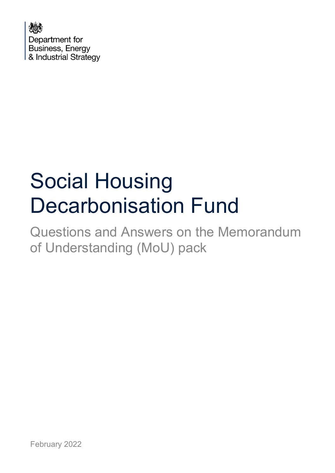

# Social Housing Decarbonisation Fund

Questions and Answers on the Memorandum of Understanding (MoU) pack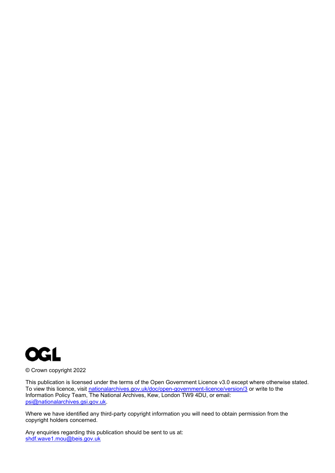

© Crown copyright 2022

This publication is licensed under the terms of the Open Government Licence v3.0 except where otherwise stated. To view this licence, visit <u>nationalarchives.gov.uk/doc/open-government-licence/version/3</u> or write to the Information Policy Team, The National Archives, Kew, London TW9 4DU, or email: [psi@nationalarchives.gsi.gov.uk.](mailto:psi@nationalarchives.gsi.gov.uk)

Where we have identified any third-party copyright information you will need to obtain permission from the copyright holders concerned.

Any enquiries regarding this publication should be sent to us at: [shdf.wave1.mou@beis.gov.uk](mailto:shdf.wave1.mou@beis.gov.uk)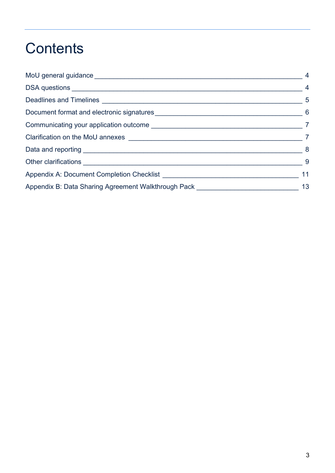## **Contents**

| Appendix B: Data Sharing Agreement Walkthrough Pack [1988] [1988] [1988] Appendix B: Data Sharing Agreement Walkthrough Pack [1988] [1988] [1988] [1988] [1988] [1988] [1988] [1988] [1988] [1988] [1988] [1988] [1988] [1988] | $\overline{4}$ |
|--------------------------------------------------------------------------------------------------------------------------------------------------------------------------------------------------------------------------------|----------------|
|                                                                                                                                                                                                                                | $\overline{4}$ |
|                                                                                                                                                                                                                                | $-5$           |
|                                                                                                                                                                                                                                |                |
|                                                                                                                                                                                                                                |                |
|                                                                                                                                                                                                                                |                |
|                                                                                                                                                                                                                                | $\sim$ 8       |
|                                                                                                                                                                                                                                | - 9            |
|                                                                                                                                                                                                                                | 11             |
|                                                                                                                                                                                                                                | 13             |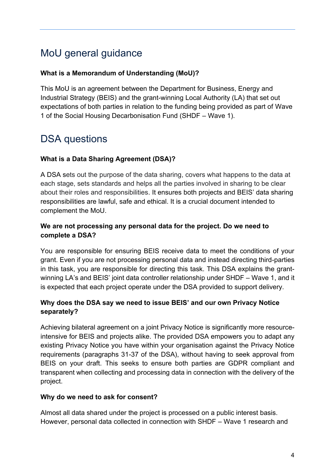## <span id="page-3-0"></span>MoU general guidance

#### **What is a Memorandum of Understanding (MoU)?**

This MoU is an agreement between the Department for Business, Energy and Industrial Strategy (BEIS) and the grant-winning Local Authority (LA) that set out expectations of both parties in relation to the funding being provided as part of Wave 1 of the Social Housing Decarbonisation Fund (SHDF – Wave 1).

## <span id="page-3-1"></span>DSA questions

#### **What is a Data Sharing Agreement (DSA)?**

A DSA sets out the purpose of the data sharing, covers what happens to the data at each stage, sets standards and helps all the parties involved in sharing to be clear about their roles and responsibilities. It ensures both projects and BEIS' data sharing responsibilities are lawful, safe and ethical. It is a crucial document intended to complement the MoU.

#### **We are not processing any personal data for the project. Do we need to complete a DSA?**

You are responsible for ensuring BEIS receive data to meet the conditions of your grant. Even if you are not processing personal data and instead directing third-parties in this task, you are responsible for directing this task. This DSA explains the grantwinning LA's and BEIS' joint data controller relationship under SHDF – Wave 1, and it is expected that each project operate under the DSA provided to support delivery.

#### **Why does the DSA say we need to issue BEIS' and our own Privacy Notice separately?**

Achieving bilateral agreement on a joint Privacy Notice is significantly more resourceintensive for BEIS and projects alike. The provided DSA empowers you to adapt any existing Privacy Notice you have within your organisation against the Privacy Notice requirements (paragraphs 31-37 of the DSA), without having to seek approval from BEIS on your draft. This seeks to ensure both parties are GDPR compliant and transparent when collecting and processing data in connection with the delivery of the project.

#### **Why do we need to ask for consent?**

Almost all data shared under the project is processed on a public interest basis. However, personal data collected in connection with SHDF – Wave 1 research and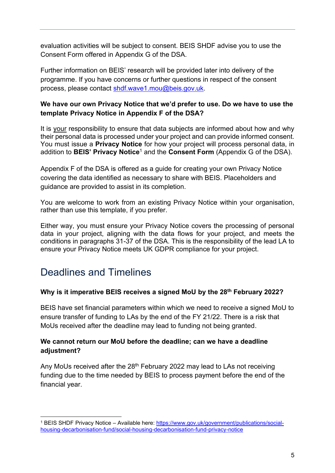evaluation activities will be subject to consent. BEIS SHDF advise you to use the Consent Form offered in Appendix G of the DSA.

Further information on BEIS' research will be provided later into delivery of the programme. If you have concerns or further questions in respect of the consent process, please contact [shdf.wave1.mou@beis.gov.uk.](mailto:shdf.wave1.mou@beis.gov.uk)

#### **We have our own Privacy Notice that we'd prefer to use. Do we have to use the template Privacy Notice in Appendix F of the DSA?**

It is your responsibility to ensure that data subjects are informed about how and why their personal data is processed under your project and can provide informed consent. You must issue a **Privacy Notice** for how your project will process personal data, in addition to **BEIS' Privacy Notice**<sup>1</sup> and the **Consent Form** (Appendix G of the DSA).

Appendix F of the DSA is offered as a guide for creating your own Privacy Notice covering the data identified as necessary to share with BEIS. Placeholders and guidance are provided to assist in its completion.

You are welcome to work from an existing Privacy Notice within your organisation, rather than use this template, if you prefer.

Either way, you must ensure your Privacy Notice covers the processing of personal data in your project, aligning with the data flows for your project, and meets the conditions in paragraphs 31-37 of the DSA. This is the responsibility of the lead LA to ensure your Privacy Notice meets UK GDPR compliance for your project.

## <span id="page-4-0"></span>Deadlines and Timelines

#### **Why is it imperative BEIS receives a signed MoU by the 28th February 2022?**

BEIS have set financial parameters within which we need to receive a signed MoU to ensure transfer of funding to LAs by the end of the FY 21/22. There is a risk that MoUs received after the deadline may lead to funding not being granted.

#### **We cannot return our MoU before the deadline; can we have a deadline adjustment?**

Any MoUs received after the 28<sup>th</sup> February 2022 may lead to LAs not receiving funding due to the time needed by BEIS to process payment before the end of the financial year.

<sup>&</sup>lt;sup>1</sup> BEIS SHDF Privacy Notice – Available here: <u>https://www.gov.uk/government/publications/social-</u> [housing-decarbonisation-fund/social-housing-decarbonisation-fund-privacy-notice](https://www.gov.uk/government/publications/social-housing-decarbonisation-fund/social-housing-decarbonisation-fund-privacy-notice)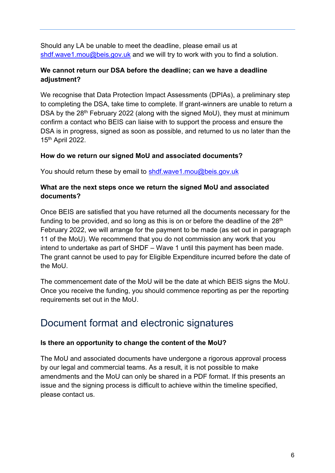Should any LA be unable to meet the deadline, please email us at [shdf.wave1.mou@beis.gov.uk](mailto:shdf.wave1.mou@beis.gov.uk) and we will try to work with you to find a solution.

#### **We cannot return our DSA before the deadline; can we have a deadline adjustment?**

We recognise that Data Protection Impact Assessments (DPIAs), a preliminary step to completing the DSA, take time to complete. If grant-winners are unable to return a DSA by the 28<sup>th</sup> February 2022 (along with the signed MoU), they must at minimum confirm a contact who BEIS can liaise with to support the process and ensure the DSA is in progress, signed as soon as possible, and returned to us no later than the 15th April 2022.

#### **How do we return our signed MoU and associated documents?**

You should return these by email to [shdf.wave1.mou@beis.gov.uk](mailto:shdf.wave1.mou@beis.gov.uk)

#### **What are the next steps once we return the signed MoU and associated documents?**

Once BEIS are satisfied that you have returned all the documents necessary for the funding to be provided, and so long as this is on or before the deadline of the  $28<sup>th</sup>$ February 2022, we will arrange for the payment to be made (as set out in paragraph 11 of the MoU). We recommend that you do not commission any work that you intend to undertake as part of SHDF – Wave 1 until this payment has been made. The grant cannot be used to pay for Eligible Expenditure incurred before the date of the MoU.

The commencement date of the MoU will be the date at which BEIS signs the MoU. Once you receive the funding, you should commence reporting as per the reporting requirements set out in the MoU.

## <span id="page-5-0"></span>Document format and electronic signatures

#### **Is there an opportunity to change the content of the MoU?**

The MoU and associated documents have undergone a rigorous approval process by our legal and commercial teams. As a result, it is not possible to make amendments and the MoU can only be shared in a PDF format. If this presents an issue and the signing process is difficult to achieve within the timeline specified, please contact us.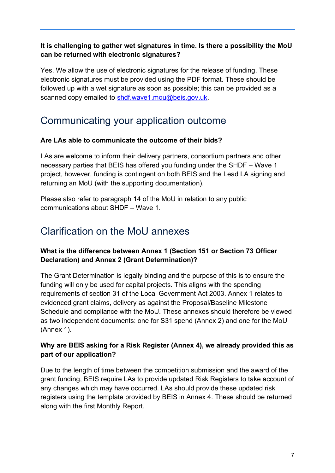#### **It is challenging to gather wet signatures in time. Is there a possibility the MoU can be returned with electronic signatures?**

Yes. We allow the use of electronic signatures for the release of funding. These electronic signatures must be provided using the PDF format. These should be followed up with a wet signature as soon as possible; this can be provided as a scanned copy emailed to [shdf.wave1.mou@beis.gov.uk.](mailto:shdf.wave1.mou@beis.gov.uk)

## <span id="page-6-0"></span>Communicating your application outcome

#### **Are LAs able to communicate the outcome of their bids?**

LAs are welcome to inform their delivery partners, consortium partners and other necessary parties that BEIS has offered you funding under the SHDF – Wave 1 project, however, funding is contingent on both BEIS and the Lead LA signing and returning an MoU (with the supporting documentation).

Please also refer to paragraph 14 of the MoU in relation to any public communications about SHDF – Wave 1.

## <span id="page-6-1"></span>Clarification on the MoU annexes

#### **What is the difference between Annex 1 (Section 151 or Section 73 Officer Declaration) and Annex 2 (Grant Determination)?**

The Grant Determination is legally binding and the purpose of this is to ensure the funding will only be used for capital projects. This aligns with the spending requirements of section 31 of the Local Government Act 2003. Annex 1 relates to evidenced grant claims, delivery as against the Proposal/Baseline Milestone Schedule and compliance with the MoU. These annexes should therefore be viewed as two independent documents: one for S31 spend (Annex 2) and one for the MoU (Annex 1).

#### **Why are BEIS asking for a Risk Register (Annex 4), we already provided this as part of our application?**

Due to the length of time between the competition submission and the award of the grant funding, BEIS require LAs to provide updated Risk Registers to take account of any changes which may have occurred. LAs should provide these updated risk registers using the template provided by BEIS in Annex 4. These should be returned along with the first Monthly Report.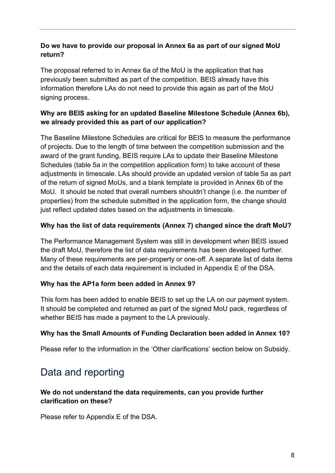#### **Do we have to provide our proposal in Annex 6a as part of our signed MoU return?**

The proposal referred to in Annex 6a of the MoU is the application that has previously been submitted as part of the competition. BEIS already have this information therefore LAs do not need to provide this again as part of the MoU signing process.

#### **Why are BEIS asking for an updated Baseline Milestone Schedule (Annex 6b), we already provided this as part of our application?**

The Baseline Milestone Schedules are critical for BEIS to measure the performance of projects. Due to the length of time between the competition submission and the award of the grant funding, BEIS require LAs to update their Baseline Milestone Schedules (table 5a in the competition application form) to take account of these adjustments in timescale. LAs should provide an updated version of table 5a as part of the return of signed MoUs, and a blank template is provided in Annex 6b of the MoU. It should be noted that overall numbers shouldn't change (i.e. the number of properties) from the schedule submitted in the application form, the change should just reflect updated dates based on the adjustments in timescale.

#### **Why has the list of data requirements (Annex 7) changed since the draft MoU?**

The Performance Management System was still in development when BEIS issued the draft MoU, therefore the list of data requirements has been developed further. Many of these requirements are per-property or one-off. A separate list of data items and the details of each data requirement is included in Appendix E of the DSA.

#### **Why has the AP1a form been added in Annex 9?**

This form has been added to enable BEIS to set up the LA on our payment system. It should be completed and returned as part of the signed MoU pack, regardless of whether BEIS has made a payment to the LA previously.

#### **Why has the Small Amounts of Funding Declaration been added in Annex 10?**

Please refer to the information in the 'Other clarifications' section below on Subsidy.

## <span id="page-7-0"></span>Data and reporting

#### **We do not understand the data requirements, can you provide further clarification on these?**

Please refer to Appendix E of the DSA.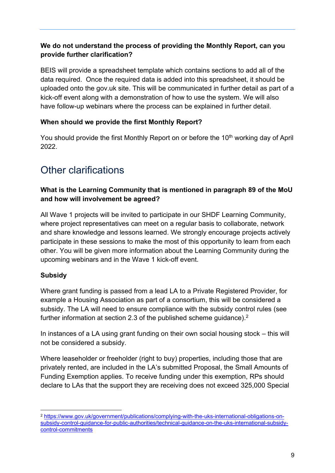#### **We do not understand the process of providing the Monthly Report, can you provide further clarification?**

BEIS will provide a spreadsheet template which contains sections to add all of the data required. Once the required data is added into this spreadsheet, it should be uploaded onto the gov.uk site. This will be communicated in further detail as part of a kick-off event along with a demonstration of how to use the system. We will also have follow-up webinars where the process can be explained in further detail.

#### **When should we provide the first Monthly Report?**

You should provide the first Monthly Report on or before the 10<sup>th</sup> working day of April 2022.

## <span id="page-8-0"></span>Other clarifications

#### **What is the Learning Community that is mentioned in paragraph 89 of the MoU and how will involvement be agreed?**

All Wave 1 projects will be invited to participate in our SHDF Learning Community, where project representatives can meet on a regular basis to collaborate, network and share knowledge and lessons learned. We strongly encourage projects actively participate in these sessions to make the most of this opportunity to learn from each other. You will be given more information about the Learning Community during the upcoming webinars and in the Wave 1 kick-off event.

#### **Subsidy**

Where grant funding is passed from a lead LA to a Private Registered Provider, for example a Housing Association as part of a consortium, this will be considered a subsidy. The LA will need to ensure compliance with the subsidy control rules (see further information at section 2.3 of the published scheme guidance).<sup>2</sup>

In instances of a LA using grant funding on their own social housing stock – this will not be considered a subsidy.

Where leaseholder or freeholder (right to buy) properties, including those that are privately rented, are included in the LA's submitted Proposal, the Small Amounts of Funding Exemption applies. To receive funding under this exemption, RPs should declare to LAs that the support they are receiving does not exceed 325,000 Special

<sup>2</sup> [https://www.gov.uk/government/publications/complying-with-the-uks-international-obligations-on](https://www.gov.uk/government/publications/complying-with-the-uks-international-obligations-on-subsidy-control-guidance-for-public-authorities/technical-guidance-on-the-uks-international-subsidy-control-commitments)[subsidy-control-guidance-for-public-authorities/technical-guidance-on-the-uks-international-subsidy](https://www.gov.uk/government/publications/complying-with-the-uks-international-obligations-on-subsidy-control-guidance-for-public-authorities/technical-guidance-on-the-uks-international-subsidy-control-commitments)[control-commitments](https://www.gov.uk/government/publications/complying-with-the-uks-international-obligations-on-subsidy-control-guidance-for-public-authorities/technical-guidance-on-the-uks-international-subsidy-control-commitments)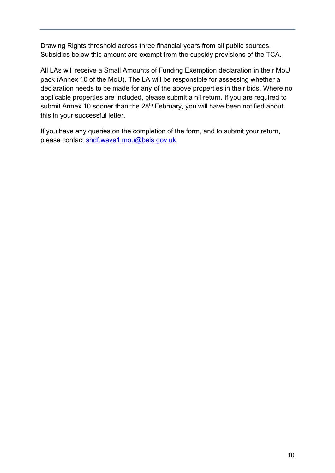Drawing Rights threshold across three financial years from all public sources. Subsidies below this amount are exempt from the subsidy provisions of the TCA.

All LAs will receive a Small Amounts of Funding Exemption declaration in their MoU pack (Annex 10 of the MoU). The LA will be responsible for assessing whether a declaration needs to be made for any of the above properties in their bids. Where no applicable properties are included, please submit a nil return. If you are required to submit Annex 10 sooner than the 28<sup>th</sup> February, you will have been notified about this in your successful letter.

If you have any queries on the completion of the form, and to submit your return, please contact [shdf.wave1.mou@beis.gov.uk.](mailto:shdf.wave1.mou@beis.gov.uk)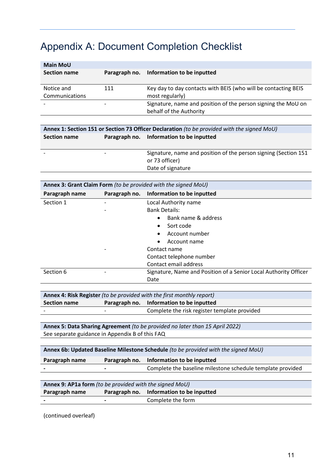## <span id="page-10-0"></span>Appendix A: Document Completion Checklist

| <b>Main MoU</b>     |               |                                                                |
|---------------------|---------------|----------------------------------------------------------------|
| <b>Section name</b> | Paragraph no. | Information to be inputted                                     |
|                     |               |                                                                |
| Notice and          | 111           | Key day to day contacts with BEIS (who will be contacting BEIS |
| Communications      |               | most regularly)                                                |
|                     |               | Signature, name and position of the person signing the MoU on  |
|                     |               | behalf of the Authority                                        |

| Annex 1: Section 151 or Section 73 Officer Declaration (to be provided with the signed MoU) |  |                                                                  |
|---------------------------------------------------------------------------------------------|--|------------------------------------------------------------------|
| Section name                                                                                |  | Paragraph no. Information to be inputted                         |
|                                                                                             |  |                                                                  |
|                                                                                             |  | Signature, name and position of the person signing (Section 151) |
|                                                                                             |  | or 73 officer)                                                   |
|                                                                                             |  | Date of signature                                                |

| Annex 3: Grant Claim Form (to be provided with the signed MoU) |               |                                                                  |
|----------------------------------------------------------------|---------------|------------------------------------------------------------------|
| Paragraph name                                                 | Paragraph no. | Information to be inputted                                       |
| Section 1                                                      |               | Local Authority name                                             |
|                                                                |               | <b>Bank Details:</b>                                             |
|                                                                |               | Bank name & address<br>$\bullet$                                 |
|                                                                |               | Sort code                                                        |
|                                                                |               | Account number                                                   |
|                                                                |               | Account name<br>$\bullet$                                        |
|                                                                |               | Contact name                                                     |
|                                                                |               | Contact telephone number                                         |
|                                                                |               | Contact email address                                            |
| Section 6                                                      |               | Signature, Name and Position of a Senior Local Authority Officer |
|                                                                |               | Date                                                             |

**Annex 4: Risk Register** *(to be provided with the first monthly report)* **Section name Paragraph no. Information to be inputted** - **Complete the risk register template provided** 

**Annex 5: Data Sharing Agreement** *(to be provided no later than 15 April 2022)* See separate guidance in Appendix B of this FAQ

| Annex 6b: Updated Baseline Milestone Schedule (to be provided with the signed MoU) |   |                                                            |
|------------------------------------------------------------------------------------|---|------------------------------------------------------------|
| Paragraph name                                                                     |   | Paragraph no. Information to be inputted                   |
|                                                                                    | - | Complete the baseline milestone schedule template provided |
|                                                                                    |   |                                                            |

| Annex 9: AP1a form (to be provided with the signed MoU) |   |                                          |
|---------------------------------------------------------|---|------------------------------------------|
| Paragraph name                                          |   | Paragraph no. Information to be inputted |
| $\sim$                                                  | - | Complete the form                        |

(continued overleaf)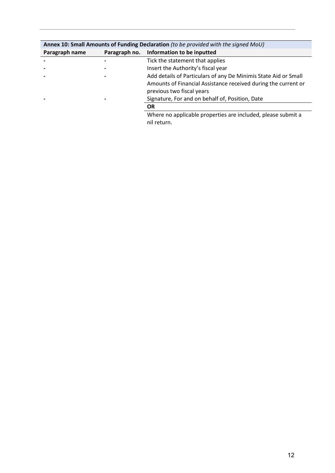| Annex 10: Small Amounts of Funding Declaration (to be provided with the signed MoU) |               |                                                                 |
|-------------------------------------------------------------------------------------|---------------|-----------------------------------------------------------------|
| Paragraph name                                                                      | Paragraph no. | Information to be inputted                                      |
|                                                                                     |               | Tick the statement that applies                                 |
|                                                                                     |               | Insert the Authority's fiscal year                              |
|                                                                                     |               | Add details of Particulars of any De Minimis State Aid or Small |
|                                                                                     |               | Amounts of Financial Assistance received during the current or  |
|                                                                                     |               | previous two fiscal years                                       |
|                                                                                     |               | Signature, For and on behalf of, Position, Date                 |
|                                                                                     |               | <b>OR</b>                                                       |
|                                                                                     |               | Where no applicable properties are included, please submit a    |
|                                                                                     |               | nil return.                                                     |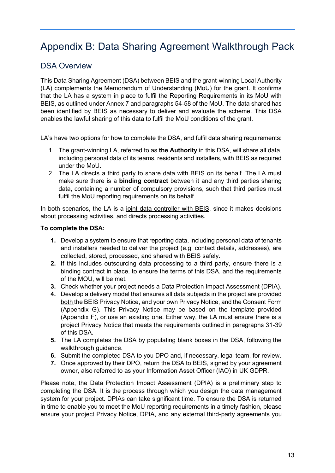## <span id="page-12-0"></span>Appendix B: Data Sharing Agreement Walkthrough Pack

#### DSA Overview

This Data Sharing Agreement (DSA) between BEIS and the grant-winning Local Authority (LA) complements the Memorandum of Understanding (MoU) for the grant. It confirms that the LA has a system in place to fulfil the Reporting Requirements in its MoU with BEIS, as outlined under Annex 7 and paragraphs 54-58 of the MoU. The data shared has been identified by BEIS as necessary to deliver and evaluate the scheme. This DSA enables the lawful sharing of this data to fulfil the MoU conditions of the grant.

LA's have two options for how to complete the DSA, and fulfil data sharing requirements:

- 1. The grant-winning LA, referred to as **the Authority** in this DSA, will share all data, including personal data of its teams, residents and installers, with BEIS as required under the MoU.
- 2. The LA directs a third party to share data with BEIS on its behalf. The LA must make sure there is a **binding contract** between it and any third parties sharing data, containing a number of compulsory provisions, such that third parties must fulfil the MoU reporting requirements on its behalf.

In both scenarios, the LA is a joint data controller with BEIS, since it makes decisions about processing activities, and directs processing activities.

#### **To complete the DSA:**

- **1.** Develop a system to ensure that reporting data, including personal data of tenants and installers needed to deliver the project (e.g. contact details, addresses), are collected, stored, processed, and shared with BEIS safely.
- **2.** If this includes outsourcing data processing to a third party, ensure there is a binding contract in place, to ensure the terms of this DSA, and the requirements of the MOU, will be met.
- **3.** Check whether your project needs a Data Protection Impact Assessment (DPIA).
- **4.** Develop a delivery model that ensures all data subjects in the project are provided both the BEIS Privacy Notice, and your own Privacy Notice, and the Consent Form (Appendix G). This Privacy Notice may be based on the template provided (Appendix F), or use an existing one. Either way, the LA must ensure there is a project Privacy Notice that meets the requirements outlined in paragraphs 31-39 of this DSA.
- **5.** The LA completes the DSA by populating blank boxes in the DSA, following the walkthrough guidance.
- **6.** Submit the completed DSA to you DPO and, if necessary, legal team, for review.
- **7.** Once approved by their DPO, return the DSA to BEIS, signed by your agreement owner, also referred to as your Information Asset Officer (IAO) in UK GDPR.

Please note, the Data Protection Impact Assessment (DPIA) is a preliminary step to completing the DSA. It is the process through which you design the data management system for your project. DPIAs can take significant time. To ensure the DSA is returned in time to enable you to meet the MoU reporting requirements in a timely fashion, please ensure your project Privacy Notice, DPIA, and any external third-party agreements you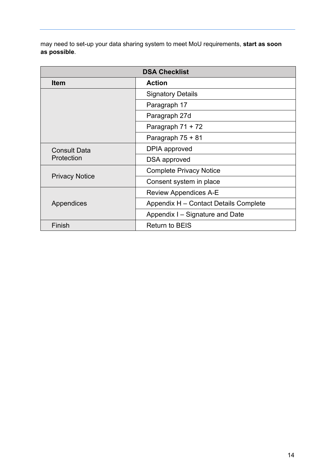may need to set-up your data sharing system to meet MoU requirements, **start as soon as possible**.

| <b>DSA Checklist</b>  |                                       |
|-----------------------|---------------------------------------|
| <b>Item</b>           | <b>Action</b>                         |
|                       | <b>Signatory Details</b>              |
|                       | Paragraph 17                          |
|                       | Paragraph 27d                         |
|                       | Paragraph 71 + 72                     |
|                       | Paragraph 75 + 81                     |
| <b>Consult Data</b>   | DPIA approved                         |
| Protection            | DSA approved                          |
| <b>Privacy Notice</b> | <b>Complete Privacy Notice</b>        |
|                       | Consent system in place               |
| Appendices            | <b>Review Appendices A-E</b>          |
|                       | Appendix H - Contact Details Complete |
|                       | Appendix I – Signature and Date       |
| Finish                | <b>Return to BEIS</b>                 |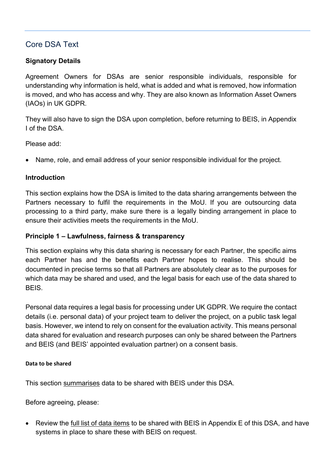#### Core DSA Text

#### **Signatory Details**

Agreement Owners for DSAs are senior responsible individuals, responsible for understanding why information is held, what is added and what is removed, how information is moved, and who has access and why. They are also known as Information Asset Owners (IAOs) in UK GDPR.

They will also have to sign the DSA upon completion, before returning to BEIS, in Appendix I of the DSA.

Please add:

• Name, role, and email address of your senior responsible individual for the project.

#### **Introduction**

This section explains how the DSA is limited to the data sharing arrangements between the Partners necessary to fulfil the requirements in the MoU. If you are outsourcing data processing to a third party, make sure there is a legally binding arrangement in place to ensure their activities meets the requirements in the MoU.

#### **Principle 1 – Lawfulness, fairness & transparency**

This section explains why this data sharing is necessary for each Partner, the specific aims each Partner has and the benefits each Partner hopes to realise. This should be documented in precise terms so that all Partners are absolutely clear as to the purposes for which data may be shared and used, and the legal basis for each use of the data shared to BEIS.

Personal data requires a legal basis for processing under UK GDPR. We require the contact details (i.e. personal data) of your project team to deliver the project, on a public task legal basis. However, we intend to rely on consent for the evaluation activity. This means personal data shared for evaluation and research purposes can only be shared between the Partners and BEIS (and BEIS' appointed evaluation partner) on a consent basis.

#### **Data to be shared**

This section summarises data to be shared with BEIS under this DSA.

Before agreeing, please:

Review the full list of data items to be shared with BEIS in Appendix E of this DSA, and have systems in place to share these with BEIS on request.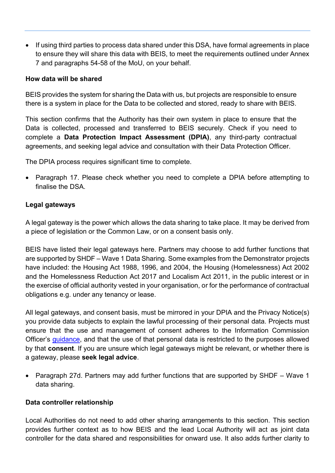• If using third parties to process data shared under this DSA, have formal agreements in place to ensure they will share this data with BEIS, to meet the requirements outlined under Annex 7 and paragraphs 54-58 of the MoU, on your behalf.

#### **How data will be shared**

BEIS provides the system for sharing the Data with us, but projects are responsible to ensure there is a system in place for the Data to be collected and stored, ready to share with BEIS.

This section confirms that the Authority has their own system in place to ensure that the Data is collected, processed and transferred to BEIS securely. Check if you need to complete a **Data Protection Impact Assessment (DPIA)**, any third-party contractual agreements, and seeking legal advice and consultation with their Data Protection Officer.

The DPIA process requires significant time to complete.

• Paragraph 17. Please check whether you need to complete a DPIA before attempting to finalise the DSA.

#### **Legal gateways**

A legal gateway is the power which allows the data sharing to take place. It may be derived from a piece of legislation or the Common Law, or on a consent basis only.

BEIS have listed their legal gateways here. Partners may choose to add further functions that are supported by SHDF – Wave 1 Data Sharing. Some examples from the Demonstrator projects have included: the Housing Act 1988, 1996, and 2004, the Housing (Homelessness) Act 2002 and the Homelessness Reduction Act 2017 and Localism Act 2011, in the public interest or in the exercise of official authority vested in your organisation, or for the performance of contractual obligations e.g. under any tenancy or lease.

All legal gateways, and consent basis, must be mirrored in your DPIA and the Privacy Notice(s) you provide data subjects to explain the lawful processing of their personal data. Projects must ensure that the use and management of consent adheres to the Information Commission Officer's [guidance,](https://ico.org.uk/for-organisations/guide-to-data-protection/guide-to-the-general-data-protection-regulation-gdpr/lawful-basis-for-processing/consent/) and that the use of that personal data is restricted to the purposes allowed by that **consent**. If you are unsure which legal gateways might be relevant, or whether there is a gateway, please **seek legal advice**.

• Paragraph 27d. Partners may add further functions that are supported by SHDF – Wave 1 data sharing.

#### **Data controller relationship**

Local Authorities do not need to add other sharing arrangements to this section. This section provides further context as to how BEIS and the lead Local Authority will act as joint data controller for the data shared and responsibilities for onward use. It also adds further clarity to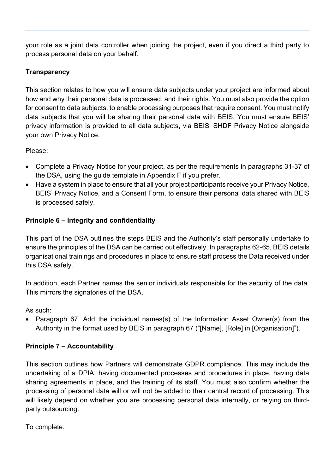your role as a joint data controller when joining the project, even if you direct a third party to process personal data on your behalf.

#### **Transparency**

This section relates to how you will ensure data subjects under your project are informed about how and why their personal data is processed, and their rights. You must also provide the option for consent to data subjects, to enable processing purposes that require consent. You must notify data subjects that you will be sharing their personal data with BEIS. You must ensure BEIS' privacy information is provided to all data subjects, via BEIS' SHDF Privacy Notice alongside your own Privacy Notice.

Please:

- Complete a Privacy Notice for your project, as per the requirements in paragraphs 31-37 of the DSA, using the guide template in Appendix F if you prefer.
- Have a system in place to ensure that all your project participants receive your Privacy Notice, BEIS' Privacy Notice, and a Consent Form, to ensure their personal data shared with BEIS is processed safely.

#### **Principle 6 – Integrity and confidentiality**

This part of the DSA outlines the steps BEIS and the Authority's staff personally undertake to ensure the principles of the DSA can be carried out effectively. In paragraphs 62-65, BEIS details organisational trainings and procedures in place to ensure staff process the Data received under this DSA safely.

In addition, each Partner names the senior individuals responsible for the security of the data. This mirrors the signatories of the DSA.

As such:

• Paragraph 67. Add the individual names(s) of the Information Asset Owner(s) from the Authority in the format used by BEIS in paragraph 67 ("[Name], [Role] in [Organisation]").

#### **Principle 7 – Accountability**

This section outlines how Partners will demonstrate GDPR compliance. This may include the undertaking of a DPIA, having documented processes and procedures in place, having data sharing agreements in place, and the training of its staff. You must also confirm whether the processing of personal data will or will not be added to their central record of processing. This will likely depend on whether you are processing personal data internally, or relying on thirdparty outsourcing.

To complete: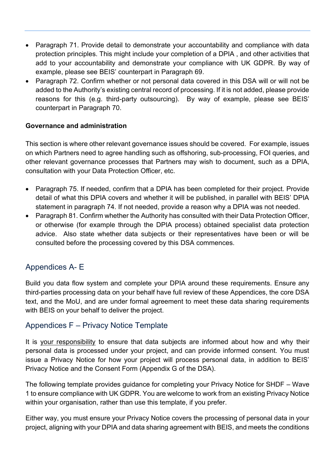- Paragraph 71. Provide detail to demonstrate your accountability and compliance with data protection principles. This might include your completion of a DPIA , and other activities that add to your accountability and demonstrate your compliance with UK GDPR. By way of example, please see BEIS' counterpart in Paragraph 69.
- Paragraph 72. Confirm whether or not personal data covered in this DSA will or will not be added to the Authority's existing central record of processing. If it is not added, please provide reasons for this (e.g. third-party outsourcing). By way of example, please see BEIS' counterpart in Paragraph 70.

#### **Governance and administration**

This section is where other relevant governance issues should be covered. For example, issues on which Partners need to agree handling such as offshoring, sub-processing, FOI queries, and other relevant governance processes that Partners may wish to document, such as a DPIA, consultation with your Data Protection Officer, etc.

- Paragraph 75. If needed, confirm that a DPIA has been completed for their project. Provide detail of what this DPIA covers and whether it will be published, in parallel with BEIS' DPIA statement in paragraph 74. If not needed, provide a reason why a DPIA was not needed.
- Paragraph 81. Confirm whether the Authority has consulted with their Data Protection Officer, or otherwise (for example through the DPIA process) obtained specialist data protection advice. Also state whether data subjects or their representatives have been or will be consulted before the processing covered by this DSA commences.

#### Appendices A- E

Build you data flow system and complete your DPIA around these requirements. Ensure any third-parties processing data on your behalf have full review of these Appendices, the core DSA text, and the MoU, and are under formal agreement to meet these data sharing requirements with BEIS on your behalf to deliver the project.

#### Appendices F – Privacy Notice Template

It is your responsibility to ensure that data subjects are informed about how and why their personal data is processed under your project, and can provide informed consent. You must issue a Privacy Notice for how your project will process personal data, in addition to BEIS' Privacy Notice and the Consent Form (Appendix G of the DSA).

The following template provides guidance for completing your Privacy Notice for SHDF – Wave 1 to ensure compliance with UK GDPR. You are welcome to work from an existing Privacy Notice within your organisation, rather than use this template, if you prefer.

Either way, you must ensure your Privacy Notice covers the processing of personal data in your project, aligning with your DPIA and data sharing agreement with BEIS, and meets the conditions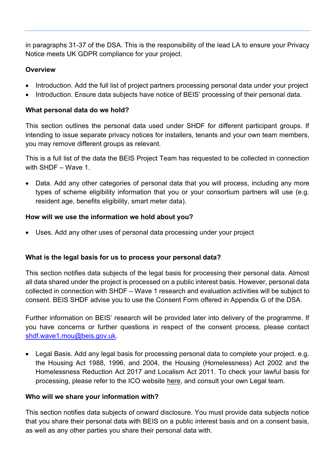in paragraphs 31-37 of the DSA. This is the responsibility of the lead LA to ensure your Privacy Notice meets UK GDPR compliance for your project.

#### **Overview**

- Introduction. Add the full list of project partners processing personal data under your project
- Introduction. Ensure data subjects have notice of BEIS' processing of their personal data.

#### **What personal data do we hold?**

This section outlines the personal data used under SHDF for different participant groups. If intending to issue separate privacy notices for installers, tenants and your own team members, you may remove different groups as relevant.

This is a full list of the data the BEIS Project Team has requested to be collected in connection with SHDF – Wave 1.

• Data. Add any other categories of personal data that you will process, including any more types of scheme eligibility information that you or your consortium partners will use (e.g. resident age, benefits eligibility, smart meter data).

#### **How will we use the information we hold about you?**

• Uses. Add any other uses of personal data processing under your project

#### **What is the legal basis for us to process your personal data?**

This section notifies data subjects of the legal basis for processing their personal data. Almost all data shared under the project is processed on a public interest basis. However, personal data collected in connection with SHDF – Wave 1 research and evaluation activities will be subject to consent. BEIS SHDF advise you to use the Consent Form offered in Appendix G of the DSA.

Further information on BEIS' research will be provided later into delivery of the programme. If you have concerns or further questions in respect of the consent process, please contact [shdf.wave1.mou@beis.gov.uk.](mailto:shdf.wave1.mou@beis.gov.uk)

• Legal Basis. Add any legal basis for processing personal data to complete your project. e.g. the Housing Act 1988, 1996, and 2004, the Housing (Homelessness) Act 2002 and the Homelessness Reduction Act 2017 and Localism Act 2011. To check your lawful basis for processing, please refer to the ICO website [here,](https://ico.org.uk/for-organisations/guide-to-data-protection/guide-to-the-general-data-protection-regulation-gdpr/lawful-basis-for-processing/consent/) and consult your own Legal team.

#### **Who will we share your information with?**

This section notifies data subjects of onward disclosure. You must provide data subjects notice that you share their personal data with BEIS on a public interest basis and on a consent basis, as well as any other parties you share their personal data with.